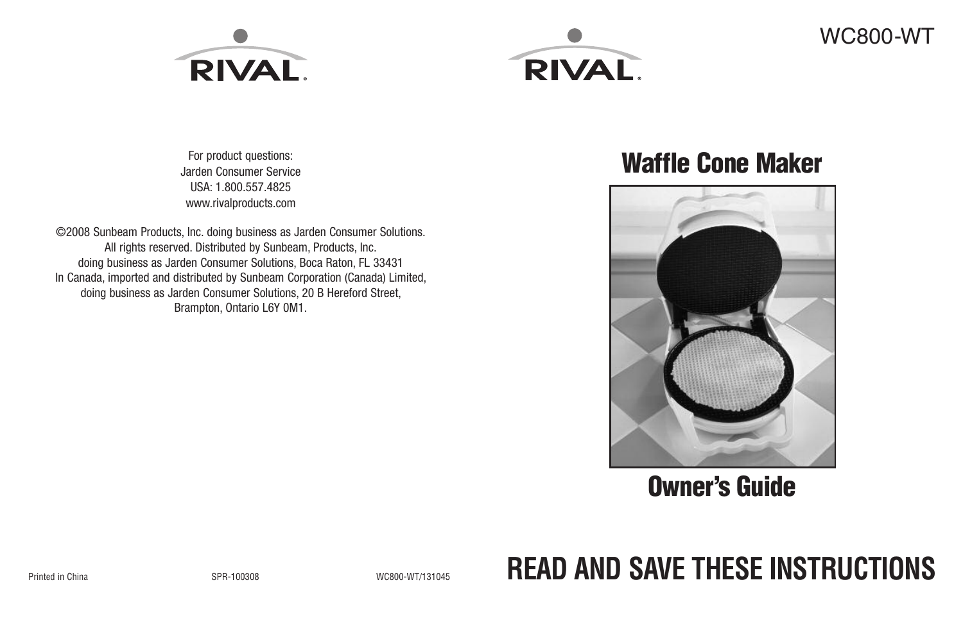



For product questions: Jarden Consumer Service USA: 1.800.557.4825 www.rivalproducts.com

©2008 Sunbeam Products, Inc. doing business as Jarden Consumer Solutions. All rights reserved. Distributed by Sunbeam, Products, Inc. doing business as Jarden Consumer Solutions, Boca Raton, FL 33431 In Canada, imported and distributed by Sunbeam Corporation (Canada) Limited, doing business as Jarden Consumer Solutions, 20 B Hereford Street, Brampton, Ontario L6Y 0M1.

## **Waffle Cone Maker**



## **Owner's Guide**

# Printed in China SPR-100308 WC800-WT/131045 **READ AND SAVE THESE INSTRUCTIONS**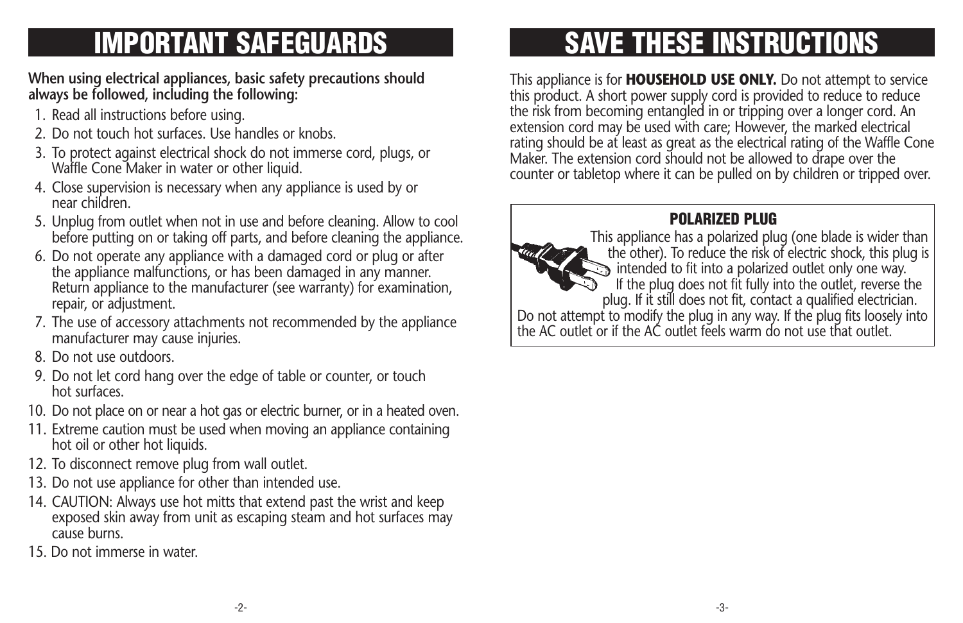## **IMPORTANT SAFEGUARDS**

#### **When using electrical appliances, basic safety precautions should always be followed, including the following:**

- 1. Read all instructions before using.
- 2. Do not touch hot surfaces. Use handles or knobs.
- 3. To protect against electrical shock do not immerse cord, plugs, or Waffle Cone Maker in water or other liquid.
- 4. Close supervision is necessary when any appliance is used by or near children.
- 5. Unplug from outlet when not in use and before cleaning. Allow to cool before putting on or taking off parts, and before cleaning the appliance.
- 6. Do not operate any appliance with a damaged cord or plug or after the appliance malfunctions, or has been damaged in any manner. Return appliance to the manufacturer (see warranty) for examination, repair, or adjustment.
- 7. The use of accessory attachments not recommended by the appliance manufacturer may cause injuries.
- 8. Do not use outdoors.
- 9. Do not let cord hang over the edge of table or counter, or touch hot surfaces.
- 10. Do not place on or near a hot gas or electric burner, or in a heated oven.
- 11. Extreme caution must be used when moving an appliance containing hot oil or other hot liquids.
- 12. To disconnect remove plug from wall outlet.
- 13. Do not use appliance for other than intended use.
- 14. CAUTION: Always use hot mitts that extend past the wrist and keep exposed skin away from unit as escaping steam and hot surfaces may cause burns.
- 15. Do not immerse in water.

# **SAVE THESE INSTRUCTIONS**

This appliance is for **HOUSEHOLD USE ONLY.** Do not attempt to service this product. A short power supply cord is provided to reduce to reduce the risk from becoming entangled in or tripping over a longer cord. An extension cord may be used with care; However, the marked electrical rating should be at least as great as the electrical rating of the Waffle Cone Maker. The extension cord should not be allowed to drape over the counter or tabletop where it can be pulled on by children or tripped over.

## **POLARIZED PLUG**

This appliance has a polarized plug (one blade is wider than the other). To reduce the risk of electric shock, this plug is  $\Rightarrow$  intended to fit into a polarized outlet only one way. If the plug does not fit fully into the outlet, reverse the plug. If it still does not fit, contact a qualified electrician. Do not attempt to modify the plug in any way. If the plug fits loosely into the AC outlet or if the AC outlet feels warm do not use that outlet.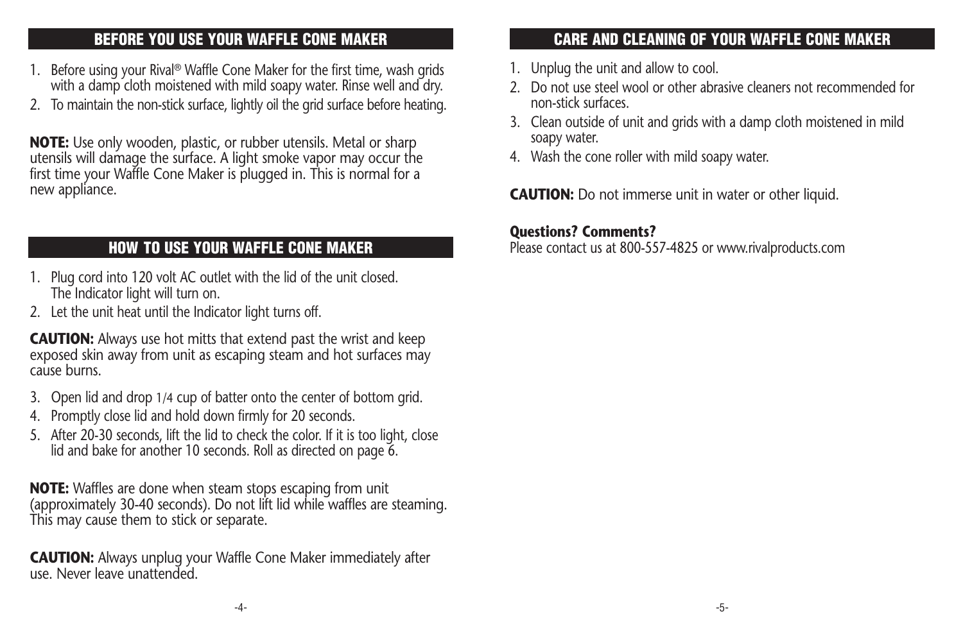#### **BEFORE YOU USE YOUR WAFFLE CONE MAKER**

- 1. Before using your Rival ® Waffle Cone Maker for the first time, wash grids with a damp cloth moistened with mild soapy water. Rinse well and dry.
- 2. To maintain the non-stick surface, lightly oil the grid surface before heating.

**NOTE:** Use only wooden, plastic, or rubber utensils. Metal or sharp utensils will damage the surface. A light smoke vapor may occur the first time your Waffle Cone Maker is plugged in. This is normal for a new appliance.

#### **HOW TO USE YOUR WAFFLE CONE MAKER**

- 1. Plug cord into 120 volt AC outlet with the lid of the unit closed. The Indicator light will turn on.
- 2. Let the unit heat until the Indicator light turns off.

**CAUTION:** Always use hot mitts that extend past the wrist and keep exposed skin away from unit as escaping steam and hot surfaces may cause burns.

- 3. Open lid and drop 1/4 cup of batter onto the center of bottom grid.
- 4. Promptly close lid and hold down firmly for 20 seconds.
- 5. After 20-30 seconds, lift the lid to check the color. If it is too light, close lid and bake for another 10 seconds. Roll as directed on page 6.

**NOTE:** Waffles are done when steam stops escaping from unit (approximately 30-40 seconds). Do not lift lid while waffles are steaming. This may cause them to stick or separate.

**CAUTION:** Always unplug your Waffle Cone Maker immediately after use. Never leave unattended.

#### **CARE AND CLEANING OF YOUR WAFFLE CONE MAKER**

- 1. Unplug the unit and allow to cool.
- 2. Do not use steel wool or other abrasive cleaners not recommended for non-stick surfaces.
- 3. Clean outside of unit and grids with a damp cloth moistened in mild soapy water.
- 4. Wash the cone roller with mild soapy water.

**CAUTION:** Do not immerse unit in water or other liquid.

#### **Questions? Comments?**

Please contact us at 800-557-4825 or www.rivalproducts.com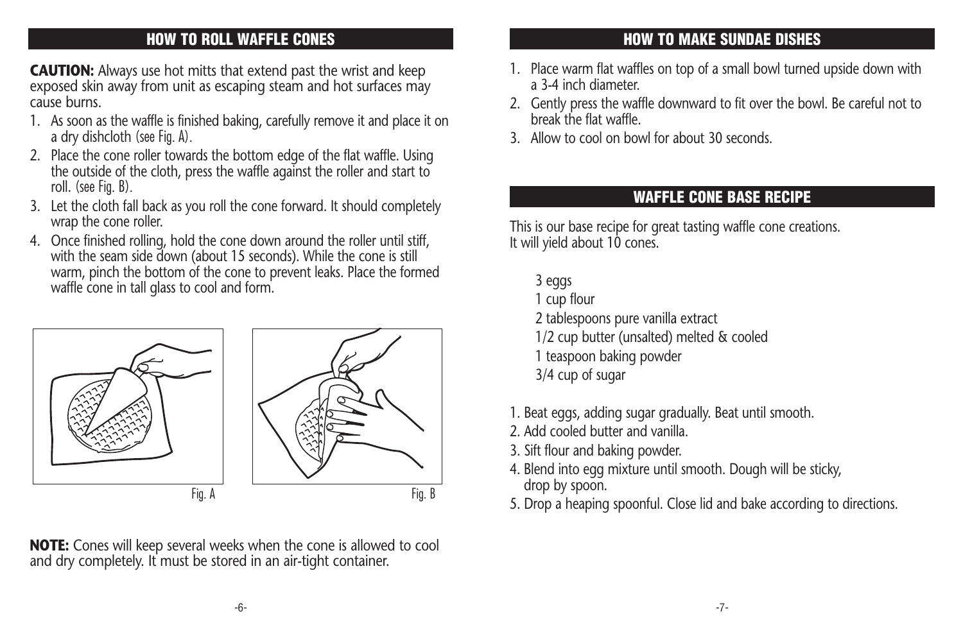## **HOW TO ROLL WAFFLE CONES**

**CAUTION:** Always use hot mitts that extend past the wrist and keep exposed skin away from unit as escaping steam and hot surfaces may cause burns.

- 1. As soon as the waffle is finished baking, carefully remove it and place it on a dry dishcloth (see Fig. A).
- 2. Place the cone roller towards the bottom edge of the flat waffle. Using the outside of the cloth, press the waffle against the roller and start to roll. (see Fig. B).
- 3. Let the cloth fall back as you roll the cone forward. It should completely wrap the cone roller.
- 4. Once finished rolling, hold the cone down around the roller until stiff, with the seam side down (about 15 seconds). While the cone is still warm, pinch the bottom of the cone to prevent leaks. Place the formed waffle cone in tall glass to cool and form.



**NOTE:** Cones will keep several weeks when the cone is allowed to cool and dry completely. It must be stored in an air-tight container.

## **HOW TO MAKE SUNDAE DISHES**

- 1. Place warm flat waffles on top of a small bowl turned upside down with a 3-4 inch diameter.
- 2. Gently press the waffle downward to fit over the bowl. Be careful not to break the flat waffle.
- 3. Allow to cool on bowl for about 30 seconds.

## **WAFFLE CONE BASE RECIPE**

This is our base recipe for great tasting waffle cone creations. It will yield about 10 cones.

- 3 eggs
- 1 cup flour
- 2 tablespoons pure vanilla extract
- 1/2 cup butter (unsalted) melted & cooled
- 1 teaspoon baking powder
- 3/4 cup of sugar
- 1. Beat eggs, adding sugar gradually. Beat until smooth.
- 2. Add cooled butter and vanilla.
- 3. Sift flour and baking powder.
- 4. Blend into egg mixture until smooth. Dough will be sticky, drop by spoon.
-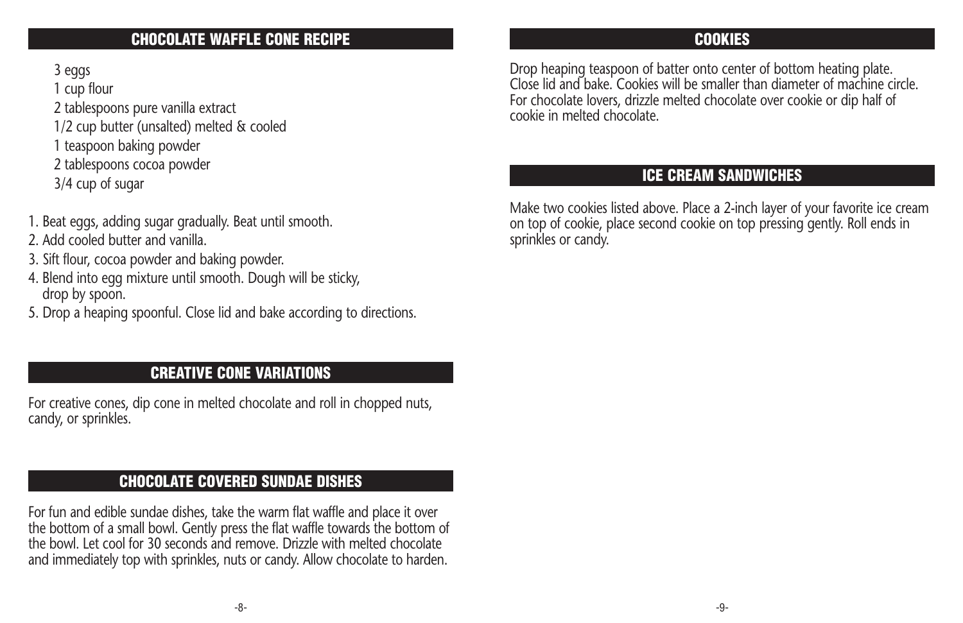#### **CHOCOLATE WAFFLE CONE RECIPE**

3 eggs

1 cup flour

- 2 tablespoons pure vanilla extract
- 1/2 cup butter (unsalted) melted & cooled
- 1 teaspoon baking powder
- 2 tablespoons cocoa powder
- 3/4 cup of sugar
- 1. Beat eggs, adding sugar gradually. Beat until smooth.
- 2. Add cooled butter and vanilla.
- 3. Sift flour, cocoa powder and baking powder.
- 4. Blend into egg mixture until smooth. Dough will be sticky, drop by spoon.
- 5. Drop a heaping spoonful. Close lid and bake according to directions.

### **CREATIVE CONE VARIATIONS**

For creative cones, dip cone in melted chocolate and roll in chopped nuts, candy, or sprinkles.

### **CHOCOLATE COVERED SUNDAE DISHES**

For fun and edible sundae dishes, take the warm flat waffle and place it over the bottom of a small bowl. Gently press the flat waffle towards the bottom of the bowl. Let cool for 30 seconds and remove. Drizzle with melted chocolate and immediately top with sprinkles, nuts or candy. Allow chocolate to harden.

#### **COOKIES**

Drop heaping teaspoon of batter onto center of bottom heating plate. Close lid and bake. Cookies will be smaller than diameter of machine circle. For chocolate lovers, drizzle melted chocolate over cookie or dip half of cookie in melted chocolate.

#### **ICE CREAM SANDWICHES**

Make two cookies listed above. Place a 2-inch layer of your favorite ice cream on top of cookie, place second cookie on top pressing gently. Roll ends in sprinkles or candy.